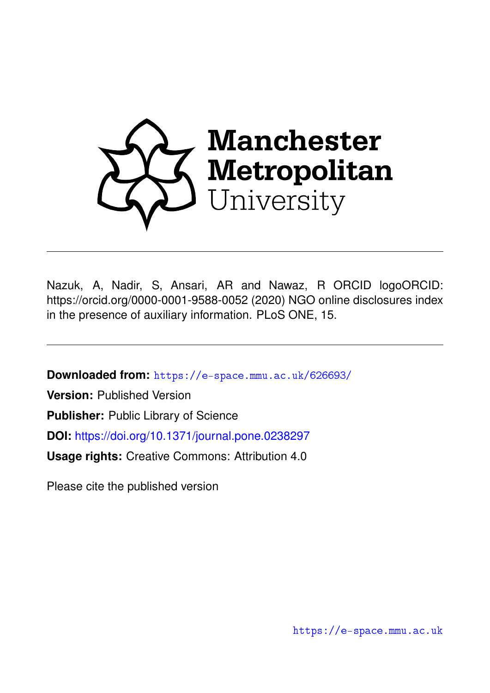

Nazuk, A, Nadir, S, Ansari, AR and Nawaz, R ORCID logoORCID: https://orcid.org/0000-0001-9588-0052 (2020) NGO online disclosures index in the presence of auxiliary information. PLoS ONE, 15.

**Downloaded from:** <https://e-space.mmu.ac.uk/626693/>

**Version:** Published Version

**Publisher:** Public Library of Science

**DOI:** <https://doi.org/10.1371/journal.pone.0238297>

**Usage rights:** Creative Commons: Attribution 4.0

Please cite the published version

<https://e-space.mmu.ac.uk>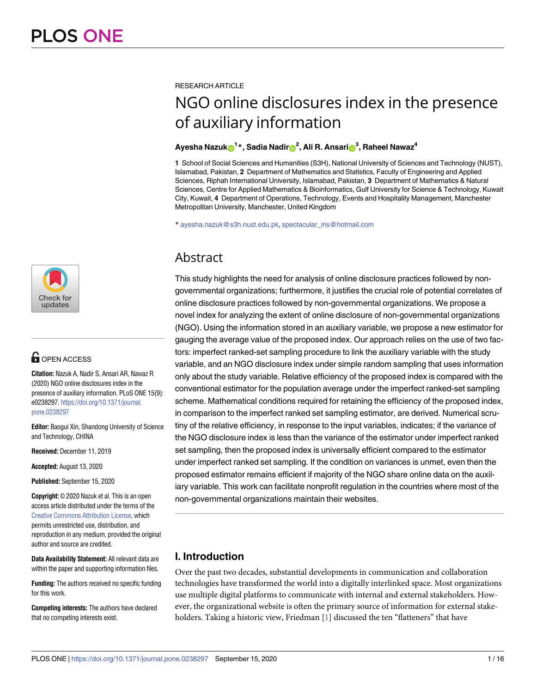

# **G** OPEN ACCESS

**Citation:** Nazuk A, Nadir S, Ansari AR, Nawaz R (2020) NGO online disclosures index in the presence of auxiliary information. PLoS ONE 15(9): e0238297. [https://doi.org/10.1371/journal.](https://doi.org/10.1371/journal.pone.0238297) [pone.0238297](https://doi.org/10.1371/journal.pone.0238297)

**Editor:** Baogui Xin, Shandong University of Science and Technology, CHINA

**Received:** December 11, 2019

**Accepted:** August 13, 2020

**Published:** September 15, 2020

**Copyright:** © 2020 Nazuk et al. This is an open access article distributed under the terms of the Creative Commons [Attribution](http://creativecommons.org/licenses/by/4.0/) License, which permits unrestricted use, distribution, and reproduction in any medium, provided the original author and source are credited.

**Data Availability Statement:** All relevant data are within the paper and supporting information files.

**Funding:** The authors received no specific funding for this work.

**Competing interests:** The authors have declared that no competing interests exist.

<span id="page-1-0"></span>RESEARCH ARTICLE

# NGO online disclosures index in the presence of auxiliary information

### $\frac{1}{2}$  **Ayesha Nazuk** $\mathbf{D}^{1\ast}$ **, Sadia Nadir** $\mathbf{D}^{2}$ **, Ali R. Ansari** $\mathbf{D}^{3}$ **, Raheel Nawaz** $^{4}$

**1** School of Social Sciences and Humanities (S3H), National University of Sciences and Technology (NUST), Islamabad, Pakistan, **2** Department of Mathematics and Statistics, Faculty of Engineering and Applied Sciences, Riphah International University, Islamabad, Pakistan, **3** Department of Mathematics & Natural Sciences, Centre for Applied Mathematics & Bioinformatics, Gulf University for Science & Technology, Kuwait City, Kuwait, **4** Department of Operations, Technology, Events and Hospitality Management, Manchester Metropolitan University, Manchester, United Kingdom

\* ayesha.nazuk@s3h.nust.edu.pk, spectacular\_iris@hotmail.com

# Abstract

This study highlights the need for analysis of online disclosure practices followed by nongovernmental organizations; furthermore, it justifies the crucial role of potential correlates of online disclosure practices followed by non-governmental organizations. We propose a novel index for analyzing the extent of online disclosure of non-governmental organizations (NGO). Using the information stored in an auxiliary variable, we propose a new estimator for gauging the average value of the proposed index. Our approach relies on the use of two factors: imperfect ranked-set sampling procedure to link the auxiliary variable with the study variable, and an NGO disclosure index under simple random sampling that uses information only about the study variable. Relative efficiency of the proposed index is compared with the conventional estimator for the population average under the imperfect ranked-set sampling scheme. Mathematical conditions required for retaining the efficiency of the proposed index, in comparison to the imperfect ranked set sampling estimator, are derived. Numerical scrutiny of the relative efficiency, in response to the input variables, indicates; if the variance of the NGO disclosure index is less than the variance of the estimator under imperfect ranked set sampling, then the proposed index is universally efficient compared to the estimator under imperfect ranked set sampling. If the condition on variances is unmet, even then the proposed estimator remains efficient if majority of the NGO share online data on the auxiliary variable. This work can facilitate nonprofit regulation in the countries where most of the non-governmental organizations maintain their websites.

# **I. Introduction**

Over the past two decades, substantial developments in communication and collaboration technologies have transformed the world into a digitally interlinked space. Most organizations use multiple digital platforms to communicate with internal and external stakeholders. However, the organizational website is often the primary source of information for external stake-holders. Taking a historic view, Friedman [\[1\]](#page-14-0) discussed the ten "flatteners" that have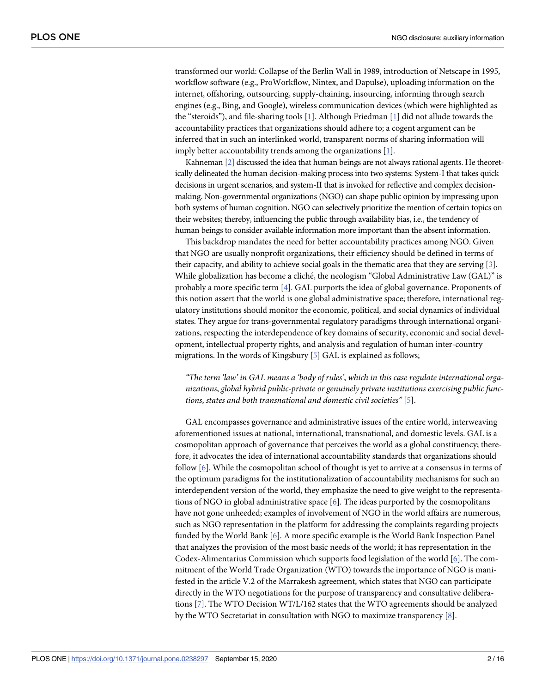<span id="page-2-0"></span>transformed our world: Collapse of the Berlin Wall in 1989, introduction of Netscape in 1995, workflow software (e.g., ProWorkflow, Nintex, and Dapulse), uploading information on the internet, offshoring, outsourcing, supply-chaining, insourcing, informing through search engines (e.g., Bing, and Google), wireless communication devices (which were highlighted as the "steroids"), and file-sharing tools [\[1](#page-14-0)]. Although Friedman [[1\]](#page-14-0) did not allude towards the accountability practices that organizations should adhere to; a cogent argument can be inferred that in such an interlinked world, transparent norms of sharing information will imply better accountability trends among the organizations [\[1\]](#page-14-0).

Kahneman [\[2\]](#page-14-0) discussed the idea that human beings are not always rational agents. He theoretically delineated the human decision-making process into two systems: System-I that takes quick decisions in urgent scenarios, and system-II that is invoked for reflective and complex decisionmaking. Non-governmental organizations (NGO) can shape public opinion by impressing upon both systems of human cognition. NGO can selectively prioritize the mention of certain topics on their websites; thereby, influencing the public through availability bias, i.e., the tendency of human beings to consider available information more important than the absent information.

This backdrop mandates the need for better accountability practices among NGO. Given that NGO are usually nonprofit organizations, their efficiency should be defined in terms of their capacity, and ability to achieve social goals in the thematic area that they are serving [\[3\]](#page-14-0). While globalization has become a cliché, the neologism "Global Administrative Law (GAL)" is probably a more specific term [\[4\]](#page-14-0). GAL purports the idea of global governance. Proponents of this notion assert that the world is one global administrative space; therefore, international regulatory institutions should monitor the economic, political, and social dynamics of individual states. They argue for trans-governmental regulatory paradigms through international organizations, respecting the interdependence of key domains of security, economic and social development, intellectual property rights, and analysis and regulation of human inter-country migrations. In the words of Kingsbury [[5\]](#page-14-0) GAL is explained as follows;

*"The term 'law' in GAL means a 'body of rules'*, *which in this case regulate international organizations*, *global hybrid public-private or genuinely private institutions exercising public functions*, *states and both transnational and domestic civil societies"* [[5\]](#page-14-0).

GAL encompasses governance and administrative issues of the entire world, interweaving aforementioned issues at national, international, transnational, and domestic levels. GAL is a cosmopolitan approach of governance that perceives the world as a global constituency; therefore, it advocates the idea of international accountability standards that organizations should follow [\[6](#page-14-0)]. While the cosmopolitan school of thought is yet to arrive at a consensus in terms of the optimum paradigms for the institutionalization of accountability mechanisms for such an interdependent version of the world, they emphasize the need to give weight to the representations of NGO in global administrative space [\[6\]](#page-14-0). The ideas purported by the cosmopolitans have not gone unheeded; examples of involvement of NGO in the world affairs are numerous, such as NGO representation in the platform for addressing the complaints regarding projects funded by the World Bank [[6](#page-14-0)]. A more specific example is the World Bank Inspection Panel that analyzes the provision of the most basic needs of the world; it has representation in the Codex-Alimentarius Commission which supports food legislation of the world [[6\]](#page-14-0). The commitment of the World Trade Organization (WTO) towards the importance of NGO is manifested in the article V.2 of the Marrakesh agreement, which states that NGO can participate directly in the WTO negotiations for the purpose of transparency and consultative deliberations [\[7](#page-14-0)]. The WTO Decision WT/L/162 states that the WTO agreements should be analyzed by the WTO Secretariat in consultation with NGO to maximize transparency [[8\]](#page-14-0).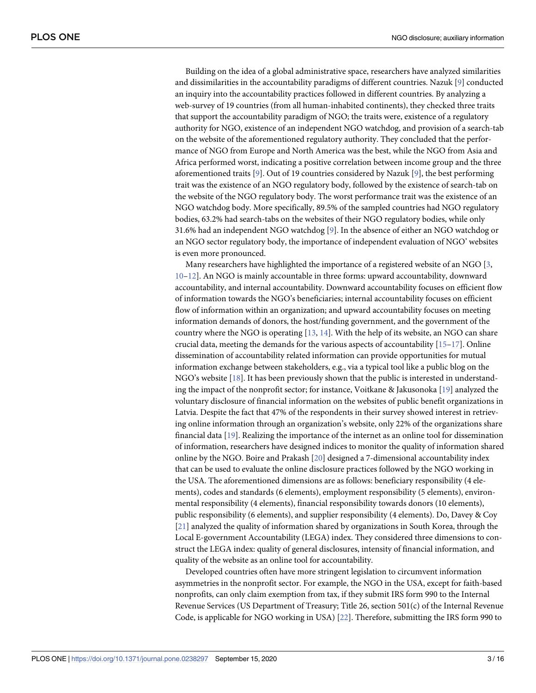<span id="page-3-0"></span>Building on the idea of a global administrative space, researchers have analyzed similarities and dissimilarities in the accountability paradigms of different countries. Nazuk [[9\]](#page-14-0) conducted an inquiry into the accountability practices followed in different countries. By analyzing a web-survey of 19 countries (from all human-inhabited continents), they checked three traits that support the accountability paradigm of NGO; the traits were, existence of a regulatory authority for NGO, existence of an independent NGO watchdog, and provision of a search-tab on the website of the aforementioned regulatory authority. They concluded that the performance of NGO from Europe and North America was the best, while the NGO from Asia and Africa performed worst, indicating a positive correlation between income group and the three aforementioned traits [[9\]](#page-14-0). Out of 19 countries considered by Nazuk [\[9](#page-14-0)], the best performing trait was the existence of an NGO regulatory body, followed by the existence of search-tab on the website of the NGO regulatory body. The worst performance trait was the existence of an NGO watchdog body. More specifically, 89.5% of the sampled countries had NGO regulatory bodies, 63.2% had search-tabs on the websites of their NGO regulatory bodies, while only 31.6% had an independent NGO watchdog [[9](#page-14-0)]. In the absence of either an NGO watchdog or an NGO sector regulatory body, the importance of independent evaluation of NGO' websites is even more pronounced.

Many researchers have highlighted the importance of a registered website of an NGO [[3](#page-14-0), [10–12](#page-15-0)]. An NGO is mainly accountable in three forms: upward accountability, downward accountability, and internal accountability. Downward accountability focuses on efficient flow of information towards the NGO's beneficiaries; internal accountability focuses on efficient flow of information within an organization; and upward accountability focuses on meeting information demands of donors, the host/funding government, and the government of the country where the NGO is operating  $[13, 14]$  $[13, 14]$  $[13, 14]$ . With the help of its website, an NGO can share crucial data, meeting the demands for the various aspects of accountability [\[15–17](#page-15-0)]. Online dissemination of accountability related information can provide opportunities for mutual information exchange between stakeholders, e.g., via a typical tool like a public blog on the NGO's website [\[18\]](#page-15-0). It has been previously shown that the public is interested in understanding the impact of the nonprofit sector; for instance, Voitkane & Jakusonoka [[19](#page-15-0)] analyzed the voluntary disclosure of financial information on the websites of public benefit organizations in Latvia. Despite the fact that 47% of the respondents in their survey showed interest in retrieving online information through an organization's website, only 22% of the organizations share financial data [\[19\]](#page-15-0). Realizing the importance of the internet as an online tool for dissemination of information, researchers have designed indices to monitor the quality of information shared online by the NGO. Boire and Prakash [\[20\]](#page-15-0) designed a 7-dimensional accountability index that can be used to evaluate the online disclosure practices followed by the NGO working in the USA. The aforementioned dimensions are as follows: beneficiary responsibility (4 elements), codes and standards (6 elements), employment responsibility (5 elements), environmental responsibility (4 elements), financial responsibility towards donors (10 elements), public responsibility (6 elements), and supplier responsibility (4 elements). Do, Davey & Coy [\[21\]](#page-15-0) analyzed the quality of information shared by organizations in South Korea, through the Local E-government Accountability (LEGA) index. They considered three dimensions to construct the LEGA index: quality of general disclosures, intensity of financial information, and quality of the website as an online tool for accountability.

Developed countries often have more stringent legislation to circumvent information asymmetries in the nonprofit sector. For example, the NGO in the USA, except for faith-based nonprofits, can only claim exemption from tax, if they submit IRS form 990 to the Internal Revenue Services (US Department of Treasury; Title 26, section 501(c) of the Internal Revenue Code, is applicable for NGO working in USA) [\[22\]](#page-15-0). Therefore, submitting the IRS form 990 to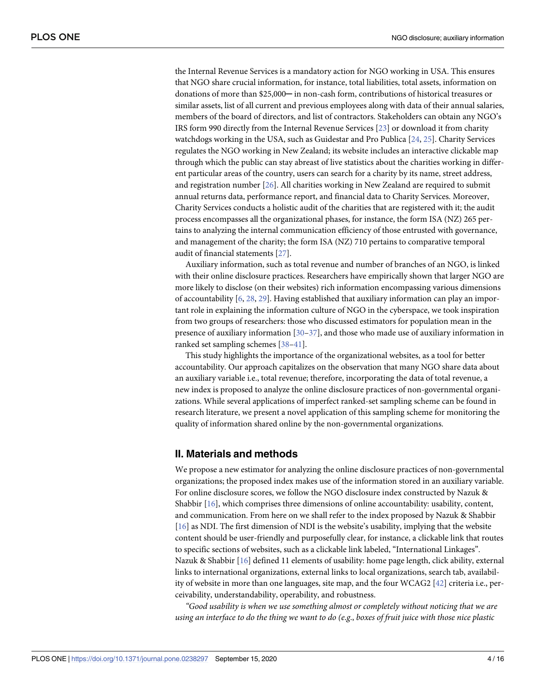<span id="page-4-0"></span>the Internal Revenue Services is a mandatory action for NGO working in USA. This ensures that NGO share crucial information, for instance, total liabilities, total assets, information on donations of more than \$25,000─ in non-cash form, contributions of historical treasures or similar assets, list of all current and previous employees along with data of their annual salaries, members of the board of directors, and list of contractors. Stakeholders can obtain any NGO's IRS form 990 directly from the Internal Revenue Services [[23\]](#page-15-0) or download it from charity watchdogs working in the USA, such as Guidestar and Pro Publica [[24](#page-15-0), [25](#page-15-0)]. Charity Services regulates the NGO working in New Zealand; its website includes an interactive clickable map through which the public can stay abreast of live statistics about the charities working in different particular areas of the country, users can search for a charity by its name, street address, and registration number [\[26\]](#page-15-0). All charities working in New Zealand are required to submit annual returns data, performance report, and financial data to Charity Services. Moreover, Charity Services conducts a holistic audit of the charities that are registered with it; the audit process encompasses all the organizational phases, for instance, the form ISA (NZ) 265 pertains to analyzing the internal communication efficiency of those entrusted with governance, and management of the charity; the form ISA (NZ) 710 pertains to comparative temporal audit of financial statements [[27](#page-15-0)].

Auxiliary information, such as total revenue and number of branches of an NGO, is linked with their online disclosure practices. Researchers have empirically shown that larger NGO are more likely to disclose (on their websites) rich information encompassing various dimensions of accountability  $[6, 28, 29]$  $[6, 28, 29]$  $[6, 28, 29]$  $[6, 28, 29]$  $[6, 28, 29]$ . Having established that auxiliary information can play an important role in explaining the information culture of NGO in the cyberspace, we took inspiration from two groups of researchers: those who discussed estimators for population mean in the presence of auxiliary information [\[30–](#page-15-0)[37](#page-16-0)], and those who made use of auxiliary information in ranked set sampling schemes [\[38–41](#page-16-0)].

This study highlights the importance of the organizational websites, as a tool for better accountability. Our approach capitalizes on the observation that many NGO share data about an auxiliary variable i.e., total revenue; therefore, incorporating the data of total revenue, a new index is proposed to analyze the online disclosure practices of non-governmental organizations. While several applications of imperfect ranked-set sampling scheme can be found in research literature, we present a novel application of this sampling scheme for monitoring the quality of information shared online by the non-governmental organizations.

#### **II. Materials and methods**

We propose a new estimator for analyzing the online disclosure practices of non-governmental organizations; the proposed index makes use of the information stored in an auxiliary variable. For online disclosure scores, we follow the NGO disclosure index constructed by Nazuk & Shabbir [[16](#page-15-0)], which comprises three dimensions of online accountability: usability, content, and communication. From here on we shall refer to the index proposed by Nazuk & Shabbir [\[16\]](#page-15-0) as NDI. The first dimension of NDI is the website's usability, implying that the website content should be user-friendly and purposefully clear, for instance, a clickable link that routes to specific sections of websites, such as a clickable link labeled, "International Linkages". Nazuk & Shabbir [\[16](#page-15-0)] defined 11 elements of usability: home page length, click ability, external links to international organizations, external links to local organizations, search tab, availability of website in more than one languages, site map, and the four WCAG2 [[42](#page-16-0)] criteria i.e., perceivability, understandability, operability, and robustness.

*"Good usability is when we use something almost or completely without noticing that we are* using an interface to do the thing we want to do (e.g., boxes of fruit juice with those nice plastic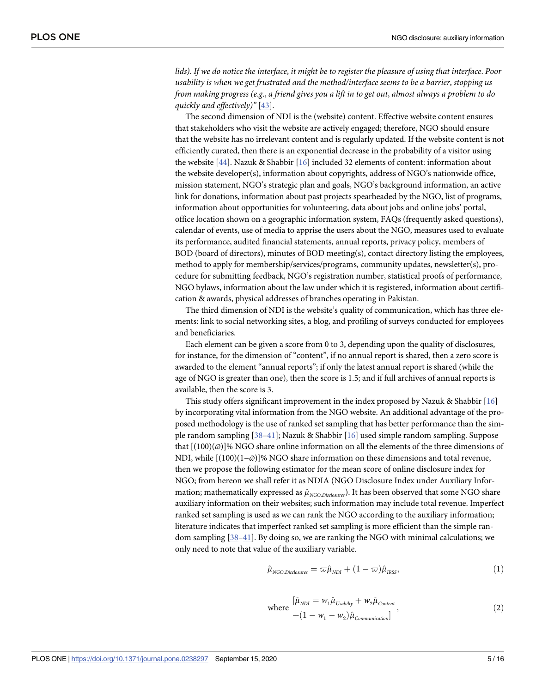<span id="page-5-0"></span>lids). If we do notice the interface, it might be to register the pleasure of using that interface. Poor *usability is when we get frustrated and the method/interface seems to be a barrier*, *stopping us* from making progress (e.g., a friend gives you a lift in to get out, almost always a problem to do *quickly and effectively)"* [\[43\]](#page-16-0).

The second dimension of NDI is the (website) content. Effective website content ensures that stakeholders who visit the website are actively engaged; therefore, NGO should ensure that the website has no irrelevant content and is regularly updated. If the website content is not efficiently curated, then there is an exponential decrease in the probability of a visitor using the website [[44](#page-16-0)]. Nazuk & Shabbir [\[16\]](#page-15-0) included 32 elements of content: information about the website developer(s), information about copyrights, address of NGO's nationwide office, mission statement, NGO's strategic plan and goals, NGO's background information, an active link for donations, information about past projects spearheaded by the NGO, list of programs, information about opportunities for volunteering, data about jobs and online jobs' portal, office location shown on a geographic information system, FAQs (frequently asked questions), calendar of events, use of media to apprise the users about the NGO, measures used to evaluate its performance, audited financial statements, annual reports, privacy policy, members of BOD (board of directors), minutes of BOD meeting(s), contact directory listing the employees, method to apply for membership/services/programs, community updates, newsletter(s), procedure for submitting feedback, NGO's registration number, statistical proofs of performance, NGO bylaws, information about the law under which it is registered, information about certification & awards, physical addresses of branches operating in Pakistan.

The third dimension of NDI is the website's quality of communication, which has three elements: link to social networking sites, a blog, and profiling of surveys conducted for employees and beneficiaries.

Each element can be given a score from 0 to 3, depending upon the quality of disclosures, for instance, for the dimension of "content", if no annual report is shared, then a zero score is awarded to the element "annual reports"; if only the latest annual report is shared (while the age of NGO is greater than one), then the score is 1.5; and if full archives of annual reports is available, then the score is 3.

This study offers significant improvement in the index proposed by Nazuk & Shabbir [[16](#page-15-0)] by incorporating vital information from the NGO website. An additional advantage of the proposed methodology is the use of ranked set sampling that has better performance than the simple random sampling [[38–41\]](#page-16-0); Nazuk & Shabbir [[16](#page-15-0)] used simple random sampling. Suppose that [(100)(*ϖ*)]% NGO share online information on all the elements of the three dimensions of NDI, while [(100)(1−*ϖ*)]% NGO share information on these dimensions and total revenue, then we propose the following estimator for the mean score of online disclosure index for NGO; from hereon we shall refer it as NDIA (NGO Disclosure Index under Auxiliary Information; mathematically expressed as  $\hat{\mu}_{NGO,Disclass}$ ). It has been observed that some NGO share auxiliary information on their websites; such information may include total revenue. Imperfect ranked set sampling is used as we can rank the NGO according to the auxiliary information; literature indicates that imperfect ranked set sampling is more efficient than the simple random sampling [[38](#page-16-0)–[41](#page-16-0)]. By doing so, we are ranking the NGO with minimal calculations; we only need to note that value of the auxiliary variable.

$$
\hat{\mu}_{NGO.Disclosure} = \varpi \hat{\mu}_{NDI} + (1 - \varpi) \hat{\mu}_{IRS},
$$
\n(1)

where 
$$
\begin{aligned} \hat{\mu}_{NDI} &= w_1 \hat{\mu}_{Usability} + w_2 \hat{\mu}_{Content} \\ &+ (1 - w_1 - w_2) \hat{\mu}_{communication} \end{aligned} \tag{2}
$$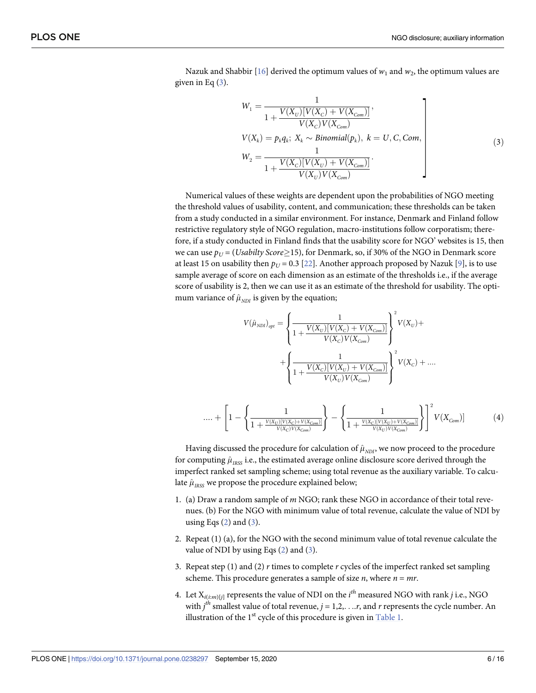<span id="page-6-0"></span>Nazuk and Shabbir [\[16\]](#page-15-0) derived the optimum values of  $w_1$  and  $w_2$ , the optimum values are given in Eq  $(3)$ .

$$
W_{1} = \frac{1}{1 + \frac{V(X_{U})[V(X_{C}) + V(X_{Com})]}{V(X_{C})V(X_{Com})}},
$$
  
\n
$$
V(X_{k}) = p_{k}q_{k}; X_{k} \sim Binomial(p_{k}), k = U, C, Com,
$$
  
\n
$$
W_{2} = \frac{1}{1 + \frac{V(X_{C})[V(X_{U}) + V(X_{Com})]}{V(X_{U})V(X_{Com})}}.
$$
\n(3)

Numerical values of these weights are dependent upon the probabilities of NGO meeting the threshold values of usability, content, and communication; these thresholds can be taken from a study conducted in a similar environment. For instance, Denmark and Finland follow restrictive regulatory style of NGO regulation, macro-institutions follow corporatism; therefore, if a study conducted in Finland finds that the usability score for NGO' websites is 15, then we can use  $p_U = (Usability Score \ge 15)$ , for Denmark, so, if 30% of the NGO in Denmark score at least 15 on usability then  $p_U = 0.3$  [\[22\]](#page-15-0). Another approach proposed by Nazuk [\[9\]](#page-14-0), is to use sample average of score on each dimension as an estimate of the thresholds i.e., if the average score of usability is 2, then we can use it as an estimate of the threshold for usability. The optimum variance of  $\hat{\mu}_{NDI}$  is given by the equation;

$$
V(\hat{\mu}_{NDl})_{opt} = \left\{ \frac{1}{1 + \frac{V(X_U)[V(X_C) + V(X_{Com})]}{V(X_C)V(X_{Com})}} \right\}^2 V(X_U) + \left\{ \frac{1}{1 + \frac{V(X_C)[V(X_U) + V(X_{Com})]}{V(X_U)V(X_{Com})}} \right\}^2 V(X_C) + \dots
$$
  
.... + 
$$
\left[ 1 - \left\{ \frac{1}{1 + \frac{V(X_U)[V(X_C) + V(X_{Com})]}{V(X_U)V(X_{Com})}} \right\} - \left\{ \frac{1}{1 + \frac{V(X_C)[V(X_U) + V(X_{Com})]}{V(X_U)V(X_{Com})}} \right\}^2 V(X_{Com}) \right\}^2 V(X_{Com})
$$
(4)

Having discussed the procedure for calculation of  $\hat{\mu}_{NDI}$ , we now proceed to the procedure for computing  $\hat{\mu}_{RSS}$  i.e., the estimated average online disclosure score derived through the imperfect ranked set sampling scheme; using total revenue as the auxiliary variable. To calculate  $\hat{\mu}_{\text{RSS}}$  we propose the procedure explained below;

- 1. (a) Draw a random sample of *m* NGO; rank these NGO in accordance of their total revenues. (b) For the NGO with minimum value of total revenue, calculate the value of NDI by using Eqs  $(2)$  $(2)$  and  $(3)$ .
- 2. Repeat (1) (a), for the NGO with the second minimum value of total revenue calculate the value of NDI by using Eqs  $(2)$  and  $(3)$ .
- 3. Repeat step (1) and (2) *r* times to complete *r* cycles of the imperfect ranked set sampling scheme. This procedure generates a sample of size *n*, where *n* = *mr*.
- 4. Let  $X_{i(im)[j]}$  represents the value of NDI on the  $i^{th}$  measured NGO with rank  $j$  i.e., NGO with  $j^{th}$  smallest value of total revenue,  $j = 1, 2, \ldots r$ , and  $r$  represents the cycle number. An illustration of the  $1<sup>st</sup>$  cycle of this procedure is given in [Table](#page-7-0) 1.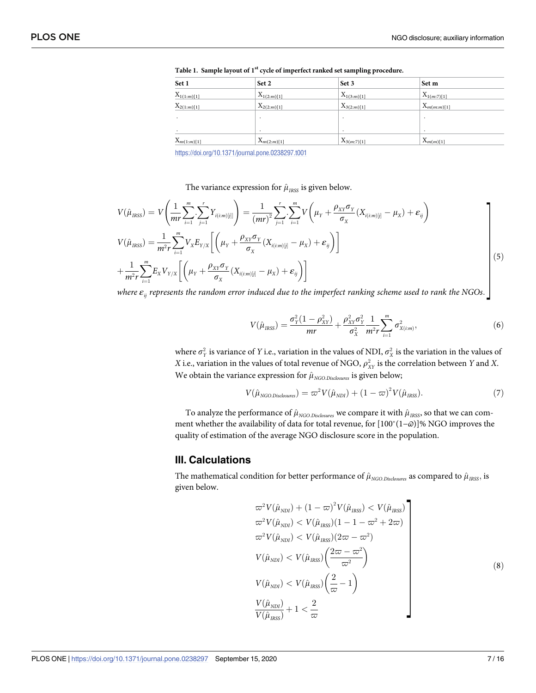| Set 2           | Set 3                              | Set m                              |                                  |  |  |  |  |
|-----------------|------------------------------------|------------------------------------|----------------------------------|--|--|--|--|
|                 |                                    |                                    |                                  |  |  |  |  |
| $X_{2(2:m)[1]}$ | $X_{3(2:m)[1]}$                    | $X_{m(m:m)[1]}$                    |                                  |  |  |  |  |
|                 |                                    |                                    |                                  |  |  |  |  |
|                 | $\cdot$                            |                                    |                                  |  |  |  |  |
|                 |                                    |                                    |                                  |  |  |  |  |
|                 | $X_{1(2:m)[1]}$<br>$X_{m(2:m)[1]}$ | $X_{1(3:m)[1]}$<br>$X_{3(m:7)[1]}$ | $X_{1(m:7)[1]}$<br>$X_{m(m)[1]}$ |  |  |  |  |

<span id="page-7-0"></span>**[Table](#page-6-0) 1. Sample layout of 1st cycle of imperfect ranked set sampling procedure.**

The variance expression for  $\hat{\mu}_{\text{IRS}}$  is given below.

$$
V(\hat{\mu}_{RSS}) = V\left(\frac{1}{mr}\sum_{i=1}^{m}\sum_{j=1}^{r}Y_{i(i:m)[j]}\right) = \frac{1}{(mr)^{2}}\sum_{j=1}^{r}\sum_{i=1}^{m}V\left(\mu_{Y} + \frac{\rho_{XY}\sigma_{Y}}{\sigma_{X}}(X_{i(i:m)[j]} - \mu_{X}) + \varepsilon_{ij}\right)
$$
  

$$
V(\hat{\mu}_{RSS}) = \frac{1}{m^{2}r}\sum_{i=1}^{m}V_{X}E_{Y/X}\left[\left(\mu_{Y} + \frac{\rho_{XY}\sigma_{Y}}{\sigma_{X}}(X_{i(i:m)[j]} - \mu_{X}) + \varepsilon_{ij}\right)\right]
$$
  

$$
+ \frac{1}{m^{2}r}\sum_{i=1}^{m}E_{X}V_{Y/X}\left[\left(\mu_{Y} + \frac{\rho_{XY}\sigma_{Y}}{\sigma_{X}}(X_{i(i:m)[j]} - \mu_{X}) + \varepsilon_{ij}\right)\right]
$$
(5)

where  $\varepsilon_{ij}$  represents the random error induced due to the imperfect ranking scheme used to rank the NGOs.  $\rfloor$ 

$$
V(\hat{\mu}_{IRSS}) = \frac{\sigma_Y^2 (1 - \rho_{XY}^2)}{mr} + \frac{\rho_{XY}^2 \sigma_Y^2}{\sigma_X^2} \frac{1}{m^2 r} \sum_{i=1}^m \sigma_{X(i:m)}^2,
$$
(6)

where  $\sigma_Y^2$  is variance of *Y* i.e., variation in the values of NDI,  $\sigma_X^2$  is the variation in the values of *X* i.e., variation in the values of total revenue of NGO,  $\rho_{XY}^2$  is the correlation between *Y* and *X*. We obtain the variance expression for  $\hat{\mu}_{NGO\,Dist{osures}}$  is given below;

$$
V(\hat{\mu}_{NGO.Disclosure}) = \varpi^2 V(\hat{\mu}_{NDI}) + (1 - \varpi)^2 V(\hat{\mu}_{IRS}).
$$
\n(7)

To analyze the performance of  $\hat{\mu}_{NGO.Disclassures}$  we compare it with  $\hat{\mu}_{IRSS}$ , so that we can comment whether the availability of data for total revenue, for [100<sup>\*</sup>(1-*a*)]% NGO improves the quality of estimation of the average NGO disclosure score in the population.

#### **III. Calculations**

The mathematical condition for better performance of  $\hat{\mu}_{NGO\cdot\text{Disclosures}}$  as compared to  $\hat{\mu}_{IRS}$ , is given below.

$$
\varpi^2 V(\hat{\mu}_{NDI}) + (1 - \varpi)^2 V(\hat{\mu}_{RSS}) < V(\hat{\mu}_{RSS})
$$
\n
$$
\varpi^2 V(\hat{\mu}_{NDI}) < V(\hat{\mu}_{RSS})(1 - 1 - \varpi^2 + 2\varpi)
$$
\n
$$
\varpi^2 V(\hat{\mu}_{NDI}) < V(\hat{\mu}_{RSS})(2\varpi - \varpi^2)
$$
\n
$$
V(\hat{\mu}_{NDI}) < V(\hat{\mu}_{RSS}) \left(\frac{2\varpi - \varpi^2}{\varpi^2}\right)
$$
\n
$$
V(\hat{\mu}_{NDI}) < V(\hat{\mu}_{RSS}) \left(\frac{2}{\varpi} - 1\right)
$$
\n
$$
\frac{V(\hat{\mu}_{NDI})}{V(\hat{\mu}_{RSS})} + 1 < \frac{2}{\varpi} \tag{8}
$$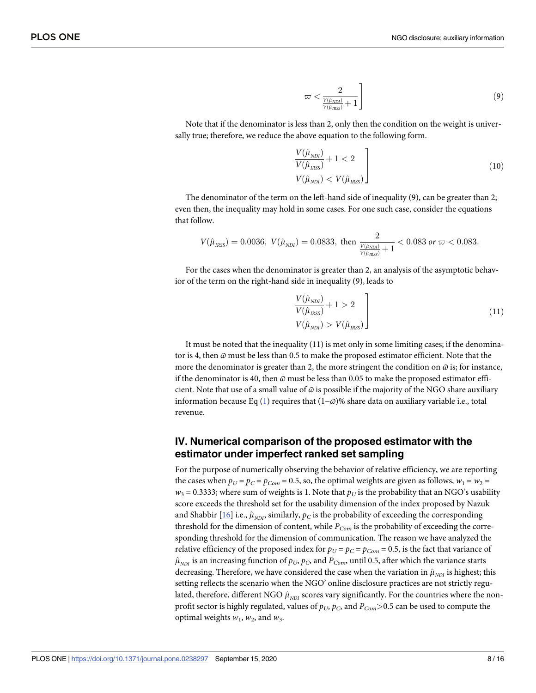$$
\varpi < \frac{2}{\frac{V(\hat{\mu}_{ND})}{V(\hat{\mu}_{IRS})} + 1} \tag{9}
$$

Note that if the denominator is less than 2, only then the condition on the weight is universally true; therefore, we reduce the above equation to the following form.

$$
\frac{V(\hat{\mu}_{NDI})}{V(\hat{\mu}_{IRS})} + 1 < 2
$$
\n
$$
V(\hat{\mu}_{NDI}) < V(\hat{\mu}_{IRS})
$$
\n
$$
(10)
$$

The denominator of the term on the left-hand side of inequality (9), can be greater than 2; even then, the inequality may hold in some cases. For one such case, consider the equations that follow.

$$
V(\hat{\mu}_{\rm RSS}) = 0.0036, \ V(\hat{\mu}_{\rm NDI}) = 0.0833, \text{ then } \frac{2}{\frac{V(\hat{\mu}_{\rm NDI})}{V(\hat{\mu}_{\rm RSS})} + 1} < 0.083 \text{ or } \varpi < 0.083.
$$

For the cases when the denominator is greater than 2, an analysis of the asymptotic behavior of the term on the right-hand side in inequality (9), leads to

$$
\frac{V(\hat{\mu}_{NDI})}{V(\hat{\mu}_{IRS})} + 1 > 2
$$
\n
$$
V(\hat{\mu}_{NDI}) > V(\hat{\mu}_{IRS})
$$
\n(11)

It must be noted that the inequality (11) is met only in some limiting cases; if the denominator is 4, then *ϖ* must be less than 0.5 to make the proposed estimator efficient. Note that the more the denominator is greater than 2, the more stringent the condition on  $\omega$  is; for instance, if the denominator is 40, then *ϖ* must be less than 0.05 to make the proposed estimator efficient. Note that use of a small value of  $\varpi$  is possible if the majority of the NGO share auxiliary information because Eq [\(1](#page-5-0)) requires that (1−*ϖ*)% share data on auxiliary variable i.e., total revenue.

# **IV. Numerical comparison of the proposed estimator with the estimator under imperfect ranked set sampling**

For the purpose of numerically observing the behavior of relative efficiency, we are reporting the cases when  $p_U = p_C = p_{Com} = 0.5$ , so, the optimal weights are given as follows,  $w_1 = w_2 =$  $w_3$  = 0.3333; where sum of weights is 1. Note that  $p_U$  is the probability that an NGO's usability score exceeds the threshold set for the usability dimension of the index proposed by Nazuk and Shabbir [[16](#page-15-0)] i.e.,  $\hat{\mu}_{NDI}$ , similarly,  $p_C$  is the probability of exceeding the corresponding threshold for the dimension of content, while  $P_{Com}$  is the probability of exceeding the corresponding threshold for the dimension of communication. The reason we have analyzed the relative efficiency of the proposed index for  $p_U = p_C = p_{Com} = 0.5$ , is the fact that variance of  $\hat{\mu}_{NDI}$  is an increasing function of  $p_U$ ,  $p_C$ , and  $P_{Com}$ , until 0.5, after which the variance starts decreasing. Therefore, we have considered the case when the variation in  $\hat{\mu}_{NDI}$  is highest; this setting reflects the scenario when the NGO' online disclosure practices are not strictly regulated, therefore, different NGO  $\hat{\mu}_{NDI}$  scores vary significantly. For the countries where the nonprofit sector is highly regulated, values of  $p_U$ ,  $p_C$ , and  $P_{Com}$  >0.5 can be used to compute the optimal weights  $w_1$ ,  $w_2$ , and  $w_3$ .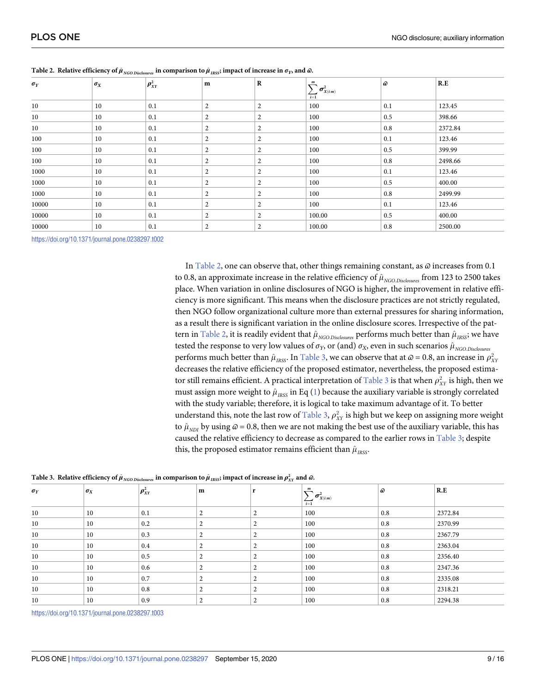| $\sigma_Y$ | $\sigma_X$ | $\rho_{XY}^2$ | m              | $\mathbf R$      | m                                                | $\hat{\omega}$ | R.E     |  |
|------------|------------|---------------|----------------|------------------|--------------------------------------------------|----------------|---------|--|
|            |            |               |                |                  | $\cdot \sigma^2_{X(i:m)}$<br>$\overleftarrow{1}$ |                |         |  |
| $10\,$     | 10         | 0.1           | 2              | $\overline{c}$   | 100                                              | 0.1            | 123.45  |  |
| 10         | 10         | 0.1           | 2              | 2                | 100                                              | 0.5            | 398.66  |  |
| $10\,$     | 10         | 0.1           | 2              | 2                | 100                                              | 0.8            | 2372.84 |  |
| 100        | 10         | 0.1           | 2              | 2                | 100                                              | 0.1            | 123.46  |  |
| 100        | 10         | 0.1           | 2              | $\boldsymbol{2}$ | 100                                              | 0.5            | 399.99  |  |
| 100        | 10         | 0.1           | 2              | $\boldsymbol{2}$ | 100                                              | 0.8            | 2498.66 |  |
| 1000       | 10         | 0.1           | 2              | 2                | 100                                              | 0.1            | 123.46  |  |
| 1000       | 10         | 0.1           | $\overline{2}$ | 2                | 100                                              | 0.5            | 400.00  |  |
| 1000       | 10         | 0.1           | 2              | $\overline{2}$   | 100                                              | 0.8            | 2499.99 |  |
| 10000      | 10         | 0.1           | 2              | $\boldsymbol{2}$ | 100                                              | 0.1            | 123.46  |  |
| 10000      | 10         | 0.1           | $\overline{2}$ | $\overline{2}$   | 100.00                                           | 0.5            | 400.00  |  |
| 10000      | 10         | 0.1           | 2              | 2                | 100.00                                           | 0.8            | 2500.00 |  |

In Table 2, one can observe that, other things remaining constant, as *ϖ* increases from 0.1 to 0.8, an approximate increase in the relative efficiency of  $\hat{\mu}_{NGO.Disclosure}$  from 123 to 2500 takes place. When variation in online disclosures of NGO is higher, the improvement in relative efficiency is more significant. This means when the disclosure practices are not strictly regulated, then NGO follow organizational culture more than external pressures for sharing information, as a result there is significant variation in the online disclosure scores. Irrespective of the pattern in <u>Table 2</u>, it is readily evident that  $\hat{\mu}_{NGO.Disdosures}$  performs much better than  $\hat{\mu}_{IRS}$ ; we have tested the response to very low values of  $\sigma_Y$ , or (and)  $\sigma_X$ , even in such scenarios  $\hat{\mu}_{NGO.Disclosure}$ performs much better than  $\hat{\mu}_{\rm{IRS}}$ . In <u>Table 3</u>, we can observe that at  $\omega$  = 0.8, an increase in  $\rho_{XY}^2$ decreases the relative efficiency of the proposed estimator, nevertheless, the proposed estimator still remains efficient. A practical interpretation of  $\overline{\text{Table 3}}$  is that when  $\rho^2_{\text{\tiny XY}}$  is high, then we must assign more weight to  $\hat{\mu}_{\text{RSS}}$  in Eq ([1\)](#page-5-0) because the auxiliary variable is strongly correlated with the study variable; therefore, it is logical to take maximum advantage of it. To better understand this, note the last row of **Table 3**,  $\rho_{XY}^2$  is high but we keep on assigning more weight to  $\hat{\mu}_{NDI}$  by using  $\hat{\omega}$  = 0.8, then we are not making the best use of the auxiliary variable, this has caused the relative efficiency to decrease as compared to the earlier rows in Table 3; despite this, the proposed estimator remains efficient than  $\hat{\mu}_{RSS}$ .

|  | Table 3. Relative efficiency of $\hat\mu_{\rm\scriptscriptstyle NGO.Disclosure}$ in comparison to $\hat\mu_{\rm\scriptscriptstyle IRSS}$ ; impact of increase in $\rho_{\rm\scriptscriptstyle XY}^2$ and $\varpi$ . |  |  |  |  |  |  |  |  |
|--|---------------------------------------------------------------------------------------------------------------------------------------------------------------------------------------------------------------------|--|--|--|--|--|--|--|--|
|--|---------------------------------------------------------------------------------------------------------------------------------------------------------------------------------------------------------------------|--|--|--|--|--|--|--|--|

| $\sigma_Y$ | $\sigma_X$ | $\rho_{XY}^2$ | m |   | m<br>$\sum \sigma^2_{X(i:m)}$<br>$i=1$ | a i | R.E     |  |
|------------|------------|---------------|---|---|----------------------------------------|-----|---------|--|
| 10         | 10         | 0.1           | 2 | 2 | 100                                    | 0.8 | 2372.84 |  |
| 10         | 10         | 0.2           | 2 | ∠ | 100                                    | 0.8 | 2370.99 |  |
| 10         | 10         | 0.3           | 2 | ∠ | 100                                    | 0.8 | 2367.79 |  |
| 10         | 10         | 0.4           | 2 | 2 | 100                                    | 0.8 | 2363.04 |  |
| 10         | 10         | 0.5           | 2 | 2 | 100                                    | 0.8 | 2356.40 |  |
| 10         | 10         | 0.6           | 2 | ∠ | 100                                    | 0.8 | 2347.36 |  |
| 10         | 10         | 0.7           | 2 | 2 | 100                                    | 0.8 | 2335.08 |  |
| 10         | 10         | 0.8           | 2 | 2 | 100                                    | 0.8 | 2318.21 |  |
| 10         | 10         | 0.9           | 2 | ∠ | 100                                    | 0.8 | 2294.38 |  |

<https://doi.org/10.1371/journal.pone.0238297.t003>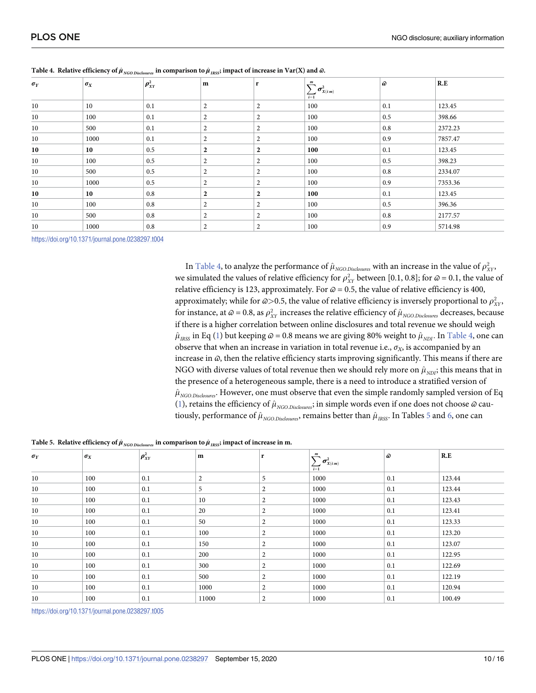|      |            | $\mathbf{m}$     | r                | $\boldsymbol{m}$ | $\hat{\omega}$      |         |                  |
|------|------------|------------------|------------------|------------------|---------------------|---------|------------------|
|      |            |                  |                  | $\sum_{i=1}$     |                     |         |                  |
| 10   | 0.1        | $\overline{2}$   | 2                | 100              | 0.1                 | 123.45  |                  |
| 100  | 0.1        | 2                | 2                | 100              | 0.5                 | 398.66  |                  |
| 500  | 0.1        | $\overline{2}$   | $\overline{2}$   | 100              | 0.8                 | 2372.23 |                  |
| 1000 | 0.1        | 2                | 2                | 100              | 0.9                 | 7857.47 |                  |
| 10   | 0.5        | $\overline{2}$   | $\overline{2}$   | 100              | 0.1                 | 123.45  |                  |
| 100  | 0.5        | 2                | 2                | 100              | 0.5                 | 398.23  |                  |
| 500  | 0.5        | $\overline{2}$   | $\overline{c}$   | 100              | 0.8                 | 2334.07 |                  |
| 1000 | 0.5        | $\overline{2}$   | 2                | 100              | 0.9                 | 7353.36 |                  |
| 10   | 0.8        | $\boldsymbol{2}$ | $\boldsymbol{2}$ | 100              | 0.1                 | 123.45  |                  |
| 100  | 0.8        | 2                | 2                | 100              | 0.5                 | 396.36  |                  |
| 500  | 0.8        | $\overline{2}$   | 2                | 100              | 0.8                 | 2177.57 |                  |
| 1000 | 0.8        | 2                | 2                | 100              | 0.9                 | 5714.98 |                  |
|      | $\sigma_X$ | $\rho_{XY}^2$    |                  |                  | $\sigma^2_{X(i:m)}$ |         | $\overline{R.E}$ |

<span id="page-10-0"></span>

In <u>Table 4</u>, to analyze the performance of  $\hat{\mu}_{\text{NGO(Disclosure)}}$  with an increase in the value of  $\rho_{XY}^2$ , we simulated the values of relative efficiency for  $\rho_{XY}^2$  between [0.1, 0.8]; for  $\omega = 0.1$ , the value of relative efficiency is 123, approximately. For  $\varpi = 0.5$ , the value of relative efficiency is 400, approximately; while for  $\omega$ >0.5, the value of relative efficiency is inversely proportional to  $\rho^2_{\rm XY}$ , for instance, at  $\omega = 0.8$ , as  $\rho_{XY}^2$  increases the relative efficiency of  $\hat{\mu}_{NGO.Disclosure}$  decreases, because if there is a higher correlation between online disclosures and total revenue we should weigh  $\hat{\mu}_{RSS}$  in Eq ([1](#page-5-0)) but keeping  $\hat{\omega}$  = 0.8 means we are giving 80% weight to  $\hat{\mu}_{NDI}$ . In Table 4, one can observe that when an increase in variation in total revenue i.e.,  $\sigma_X$ , is accompanied by an increase in *ϖ*, then the relative efficiency starts improving significantly. This means if there are NGO with diverse values of total revenue then we should rely more on  $\hat{\mu}_{NDI}$ ; this means that in the presence of a heterogeneous sample, there is a need to introduce a stratified version of  $\hat{\mu}_{NGO,Disclosure}$ . However, one must observe that even the simple randomly sampled version of Eq [\(1](#page-5-0)), retains the efficiency of  $\hat{\mu}_{NGO,Disclosure}$ ; in simple words even if one does not choose  $\hat{\omega}$  cautiously, performance of  $\hat{\mu}_{NGO\,Dist{O}3W}$ , remains better than  $\hat{\mu}_{IRS}$ . In Tables 5 and [6](#page-11-0), one can

Table 5. Relative efficiency of  $\hat{\mu}_{NGO.Disclosure}$  in comparison to  $\hat{\mu}_{IRS}$ ; impact of increase in m.

| $\sigma_Y$ | $\sigma_X$ | $\rho_{\scriptscriptstyle XY}^2$ | m     | r                | m                                  | $\hat{\omega}$ | R.E    |
|------------|------------|----------------------------------|-------|------------------|------------------------------------|----------------|--------|
|            |            |                                  |       |                  | $\sum_{i=1}^{n} \sigma_{X(i:m)}^2$ |                |        |
|            |            |                                  |       |                  |                                    |                |        |
| 10         | 100        | 0.1                              | 2     | 5                | 1000                               | 0.1            | 123.44 |
| 10         | 100        | 0.1                              | 5     | 2                | 1000                               | 0.1            | 123.44 |
| $10\,$     | 100        | 0.1                              | 10    | 2                | 1000                               | 0.1            | 123.43 |
| 10         | 100        | 0.1                              | 20    | $\boldsymbol{2}$ | 1000                               | 0.1            | 123.41 |
| $10\,$     | 100        | 0.1                              | 50    | 2                | 1000                               | 0.1            | 123.33 |
| $10\,$     | 100        | 0.1                              | 100   | $\overline{2}$   | 1000                               | 0.1            | 123.20 |
| $10\,$     | 100        | 0.1                              | 150   | $\overline{2}$   | 1000                               | 0.1            | 123.07 |
| $10\,$     | 100        | 0.1                              | 200   | 2                | 1000                               | 0.1            | 122.95 |
| $10\,$     | 100        | 0.1                              | 300   | 2                | 1000                               | 0.1            | 122.69 |
| 10         | 100        | 0.1                              | 500   | $\overline{2}$   | 1000                               | 0.1            | 122.19 |
| $10\,$     | 100        | 0.1                              | 1000  | $\boldsymbol{2}$ | 1000                               | 0.1            | 120.94 |
| 10         | 100        | 0.1                              | 11000 | 2                | 1000                               | 0.1            | 100.49 |

<https://doi.org/10.1371/journal.pone.0238297.t005>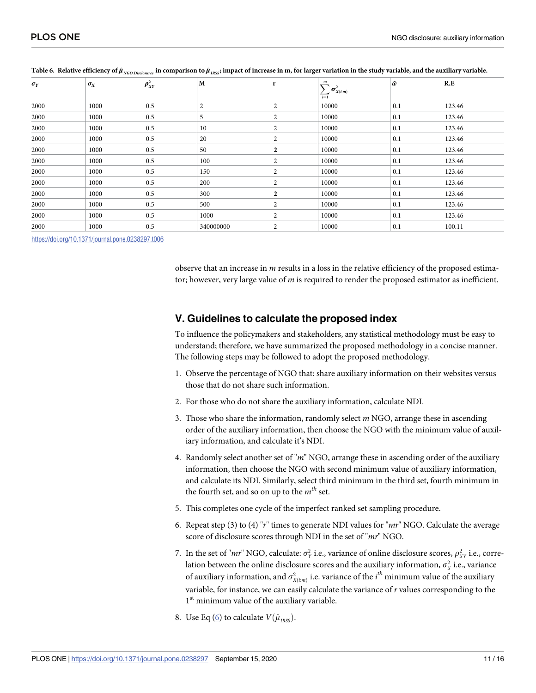| $\sigma_Y$ | $\sigma_X$ | $\rho_{XY}^2$ | M         | r              | $\boldsymbol{m}$<br>$\sigma^2_{X(i:m)}$<br>$\sum_{i=1}$ | $\hat{\omega}$ | R.E    |
|------------|------------|---------------|-----------|----------------|---------------------------------------------------------|----------------|--------|
|            |            |               |           |                |                                                         |                |        |
| 2000       | 1000       | 0.5           | 2         | $\overline{2}$ | 10000                                                   | 0.1            | 123.46 |
| 2000       | 1000       | 0.5           | 5         | $\overline{2}$ | 10000                                                   | 0.1            | 123.46 |
| 2000       | 1000       | 0.5           | 10        | 2              | 10000                                                   | 0.1            | 123.46 |
| 2000       | 1000       | 0.5           | 20        | $\overline{2}$ | 10000                                                   | 0.1            | 123.46 |
| 2000       | 1000       | 0.5           | 50        | $\overline{2}$ | 10000                                                   | 0.1            | 123.46 |
| 2000       | 1000       | 0.5           | 100       | $\overline{2}$ | 10000                                                   | 0.1            | 123.46 |
| 2000       | 1000       | 0.5           | 150       | 2              | 10000                                                   | 0.1            | 123.46 |
| 2000       | 1000       | 0.5           | 200       | $\overline{2}$ | 10000                                                   | 0.1            | 123.46 |
| 2000       | 1000       | 0.5           | 300       | $\overline{2}$ | 10000                                                   | 0.1            | 123.46 |
| 2000       | 1000       | 0.5           | 500       | 2              | 10000                                                   | 0.1            | 123.46 |
| 2000       | 1000       | 0.5           | 1000      | $\overline{2}$ | 10000                                                   | 0.1            | 123.46 |
| 2000       | 1000       | 0.5           | 340000000 | 2              | 10000                                                   | 0.1            | 100.11 |

<span id="page-11-0"></span>

| Table 6. Relative efficiency of $\hat{\mu}_{NGO\,Disloss}$ in comparison to $\hat{\mu}_{RSS}$ ; impact of increase in m, for larger variation in the study variable, and the auxiliary variable. |  |  |  |  |
|--------------------------------------------------------------------------------------------------------------------------------------------------------------------------------------------------|--|--|--|--|
|--------------------------------------------------------------------------------------------------------------------------------------------------------------------------------------------------|--|--|--|--|

observe that an increase in *m* results in a loss in the relative efficiency of the proposed estimator; however, very large value of *m* is required to render the proposed estimator as inefficient.

# **V. Guidelines to calculate the proposed index**

To influence the policymakers and stakeholders, any statistical methodology must be easy to understand; therefore, we have summarized the proposed methodology in a concise manner. The following steps may be followed to adopt the proposed methodology.

- 1. Observe the percentage of NGO that: share auxiliary information on their websites versus those that do not share such information.
- 2. For those who do not share the auxiliary information, calculate NDI.
- 3. Those who share the information, randomly select *m* NGO, arrange these in ascending order of the auxiliary information, then choose the NGO with the minimum value of auxiliary information, and calculate it's NDI.
- 4. Randomly select another set of "*m*" NGO, arrange these in ascending order of the auxiliary information, then choose the NGO with second minimum value of auxiliary information, and calculate its NDI. Similarly, select third minimum in the third set, fourth minimum in the fourth set, and so on up to the *mth* set.
- 5. This completes one cycle of the imperfect ranked set sampling procedure.
- 6. Repeat step (3) to (4) "*r*" times to generate NDI values for "*mr*" NGO. Calculate the average score of disclosure scores through NDI in the set of "*mr*" NGO.
- 7. In the set of "*mr*" NGO, calculate:  $\sigma_Y^2$  i.e., variance of online disclosure scores,  $\rho_{XY}^2$  i.e., correlation between the online disclosure scores and the auxiliary information,  $\sigma_{\chi}^2$  i.e., variance of auxiliary information, and  $\sigma^2_{X(i:m)}$  i.e. variance of the  $i^{th}$  minimum value of the auxiliary variable, for instance, we can easily calculate the variance of *r* values corresponding to the 1<sup>st</sup> minimum value of the auxiliary variable.
- 8. Use Eq ([6\)](#page-7-0) to calculate  $V(\hat{\mu}_{\text{RSS}})$ .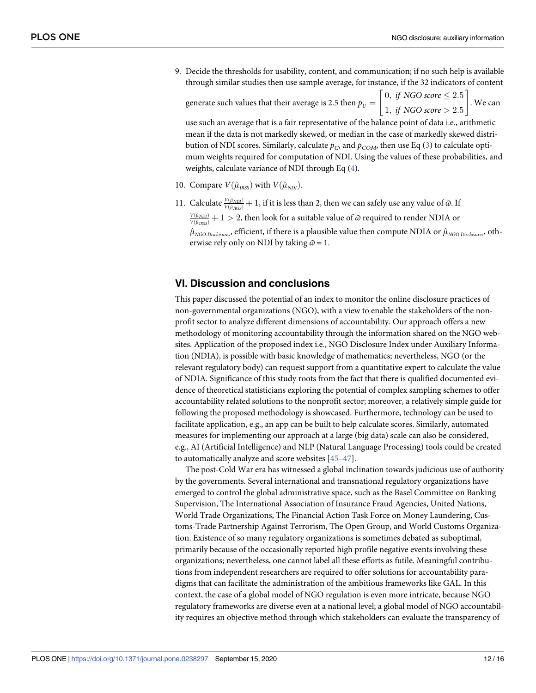<span id="page-12-0"></span>9. Decide the thresholds for usability, content, and communication; if no such help is available through similar studies then use sample average, for instance, if the 32 indicators of content generate such values that their average is 2.5 then  $p_{U} = \begin{bmatrix} 0, \textit{ if } NGO \textit{ score} \leq 2.5 \ 1, \textit{ if } NGO \textit{ score} > 2.5 \end{bmatrix}$  $\frac{1}{2}$   $\frac{1}{2}$   $\frac{1}{2}$   $\frac{1}{2}$ . We can

use such an average that is a fair representative of the balance point of data i.e., arithmetic mean if the data is not markedly skewed, or median in the case of markedly skewed distribution of NDI scores. Similarly, calculate  $p_C$ , and  $p_{COM}$ , then use Eq [\(3\)](#page-6-0) to calculate optimum weights required for computation of NDI. Using the values of these probabilities, and weights, calculate variance of NDI through Eq  $(4)$  $(4)$  $(4)$ .

- 10. Compare  $V(\hat{\mu}_{\text{r}_\text{RSS}})$  with  $V(\hat{\mu}_{\text{NDI}})$ .
- 11. Calculate  $\frac{V(\hat{\mu}_{NDI})}{V(\hat{\mu}_{IRSS})}$  + 1, if it is less than 2, then we can safely use any value of  $\hat{\omega}$ . If  $\frac{V(\hat{\mu}_{NDI})}{V(\hat{\mu}_{IRSS})} + 1 > 2$ , then look for a suitable value of  $\alpha$  required to render NDIA or  $\hat{\mu}_{NGO.Disclosures}$ , efficient, if there is a plausible value then compute NDIA or  $\hat{\mu}_{NGO.Disclosures}$ , otherwise rely only on NDI by taking  $\omega = 1$ .

#### **VI. Discussion and conclusions**

This paper discussed the potential of an index to monitor the online disclosure practices of non-governmental organizations (NGO), with a view to enable the stakeholders of the nonprofit sector to analyze different dimensions of accountability. Our approach offers a new methodology of monitoring accountability through the information shared on the NGO websites. Application of the proposed index i.e., NGO Disclosure Index under Auxiliary Information (NDIA), is possible with basic knowledge of mathematics; nevertheless, NGO (or the relevant regulatory body) can request support from a quantitative expert to calculate the value of NDIA. Significance of this study roots from the fact that there is qualified documented evidence of theoretical statisticians exploring the potential of complex sampling schemes to offer accountability related solutions to the nonprofit sector; moreover, a relatively simple guide for following the proposed methodology is showcased. Furthermore, technology can be used to facilitate application, e.g., an app can be built to help calculate scores. Similarly, automated measures for implementing our approach at a large (big data) scale can also be considered, e.g., AI (Artificial Intelligence) and NLP (Natural Language Processing) tools could be created to automatically analyze and score websites [\[45–47](#page-16-0)].

The post-Cold War era has witnessed a global inclination towards judicious use of authority by the governments. Several international and transnational regulatory organizations have emerged to control the global administrative space, such as the Basel Committee on Banking Supervision, The International Association of Insurance Fraud Agencies, United Nations, World Trade Organizations, The Financial Action Task Force on Money Laundering, Customs-Trade Partnership Against Terrorism, The Open Group, and World Customs Organization. Existence of so many regulatory organizations is sometimes debated as suboptimal, primarily because of the occasionally reported high profile negative events involving these organizations; nevertheless, one cannot label all these efforts as futile. Meaningful contributions from independent researchers are required to offer solutions for accountability paradigms that can facilitate the administration of the ambitious frameworks like GAL. In this context, the case of a global model of NGO regulation is even more intricate, because NGO regulatory frameworks are diverse even at a national level; a global model of NGO accountability requires an objective method through which stakeholders can evaluate the transparency of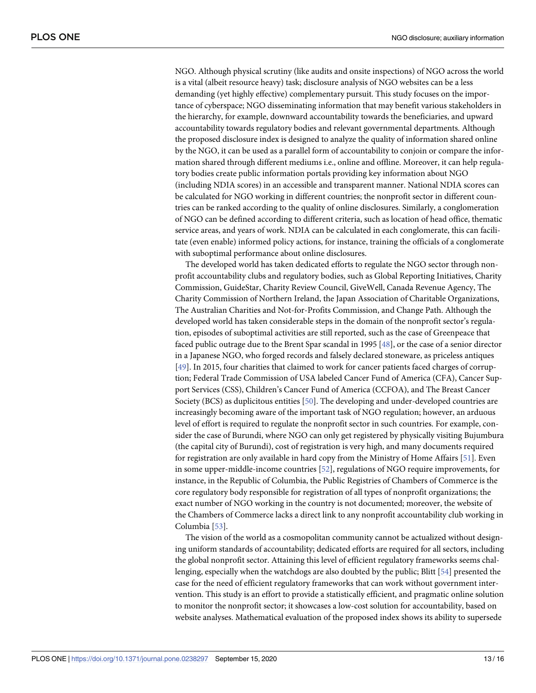<span id="page-13-0"></span>NGO. Although physical scrutiny (like audits and onsite inspections) of NGO across the world is a vital (albeit resource heavy) task; disclosure analysis of NGO websites can be a less demanding (yet highly effective) complementary pursuit. This study focuses on the importance of cyberspace; NGO disseminating information that may benefit various stakeholders in the hierarchy, for example, downward accountability towards the beneficiaries, and upward accountability towards regulatory bodies and relevant governmental departments. Although the proposed disclosure index is designed to analyze the quality of information shared online by the NGO, it can be used as a parallel form of accountability to conjoin or compare the information shared through different mediums i.e., online and offline. Moreover, it can help regulatory bodies create public information portals providing key information about NGO (including NDIA scores) in an accessible and transparent manner. National NDIA scores can be calculated for NGO working in different countries; the nonprofit sector in different countries can be ranked according to the quality of online disclosures. Similarly, a conglomeration of NGO can be defined according to different criteria, such as location of head office, thematic service areas, and years of work. NDIA can be calculated in each conglomerate, this can facilitate (even enable) informed policy actions, for instance, training the officials of a conglomerate with suboptimal performance about online disclosures.

The developed world has taken dedicated efforts to regulate the NGO sector through nonprofit accountability clubs and regulatory bodies, such as Global Reporting Initiatives, Charity Commission, GuideStar, Charity Review Council, GiveWell, Canada Revenue Agency, The Charity Commission of Northern Ireland, the Japan Association of Charitable Organizations, The Australian Charities and Not-for-Profits Commission, and Change Path. Although the developed world has taken considerable steps in the domain of the nonprofit sector's regulation, episodes of suboptimal activities are still reported, such as the case of Greenpeace that faced public outrage due to the Brent Spar scandal in 1995 [\[48\]](#page-16-0), or the case of a senior director in a Japanese NGO, who forged records and falsely declared stoneware, as priceless antiques [\[49\]](#page-16-0). In 2015, four charities that claimed to work for cancer patients faced charges of corruption; Federal Trade Commission of USA labeled Cancer Fund of America (CFA), Cancer Support Services (CSS), Children's Cancer Fund of America (CCFOA), and The Breast Cancer Society (BCS) as duplicitous entities [\[50\]](#page-16-0). The developing and under-developed countries are increasingly becoming aware of the important task of NGO regulation; however, an arduous level of effort is required to regulate the nonprofit sector in such countries. For example, consider the case of Burundi, where NGO can only get registered by physically visiting Bujumbura (the capital city of Burundi), cost of registration is very high, and many documents required for registration are only available in hard copy from the Ministry of Home Affairs [\[51\]](#page-16-0). Even in some upper-middle-income countries [\[52\]](#page-16-0), regulations of NGO require improvements, for instance, in the Republic of Columbia, the Public Registries of Chambers of Commerce is the core regulatory body responsible for registration of all types of nonprofit organizations; the exact number of NGO working in the country is not documented; moreover, the website of the Chambers of Commerce lacks a direct link to any nonprofit accountability club working in Columbia [\[53\]](#page-16-0).

The vision of the world as a cosmopolitan community cannot be actualized without designing uniform standards of accountability; dedicated efforts are required for all sectors, including the global nonprofit sector. Attaining this level of efficient regulatory frameworks seems challenging, especially when the watchdogs are also doubted by the public; Blitt [\[54\]](#page-16-0) presented the case for the need of efficient regulatory frameworks that can work without government intervention. This study is an effort to provide a statistically efficient, and pragmatic online solution to monitor the nonprofit sector; it showcases a low-cost solution for accountability, based on website analyses. Mathematical evaluation of the proposed index shows its ability to supersede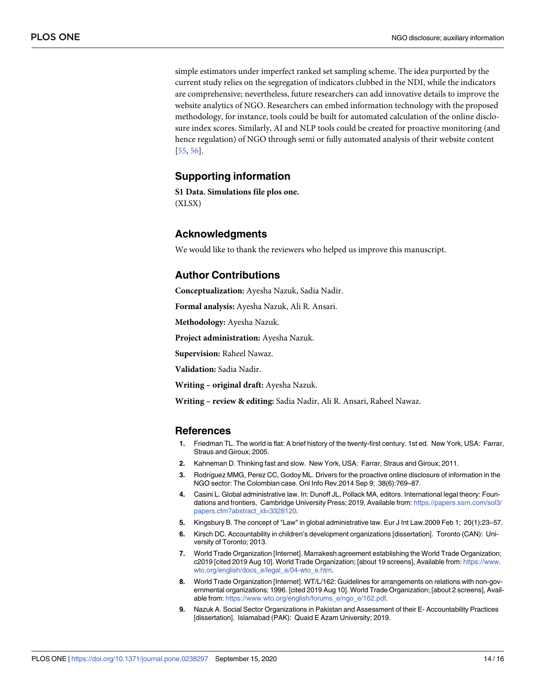<span id="page-14-0"></span>simple estimators under imperfect ranked set sampling scheme. The idea purported by the current study relies on the segregation of indicators clubbed in the NDI, while the indicators are comprehensive; nevertheless, future researchers can add innovative details to improve the website analytics of NGO. Researchers can embed information technology with the proposed methodology, for instance, tools could be built for automated calculation of the online disclosure index scores. Similarly, AI and NLP tools could be created for proactive monitoring (and hence regulation) of NGO through semi or fully automated analysis of their website content [\[55,](#page-16-0) [56\]](#page-16-0).

### **Supporting information**

**S1 [Data](http://www.plosone.org/article/fetchSingleRepresentation.action?uri=info:doi/10.1371/journal.pone.0238297.s001). Simulations file plos one.** (XLSX)

# **Acknowledgments**

We would like to thank the reviewers who helped us improve this manuscript.

# **Author Contributions**

**Conceptualization:** Ayesha Nazuk, Sadia Nadir.

**Formal analysis:** Ayesha Nazuk, Ali R. Ansari.

**Methodology:** Ayesha Nazuk.

**Project administration:** Ayesha Nazuk.

**Supervision:** Raheel Nawaz.

**Validation:** Sadia Nadir.

**Writing – original draft:** Ayesha Nazuk.

**Writing – review & editing:** Sadia Nadir, Ali R. Ansari, Raheel Nawaz.

#### **References**

- **[1](#page-1-0).** Friedman TL. The world is flat: A brief history of the twenty-first century. 1st ed. New York, USA: Farrar, Straus and Giroux; 2005.
- **[2](#page-2-0).** Kahneman D. Thinking fast and slow. New York, USA: Farrar, Straus and Giroux; 2011.
- **[3](#page-2-0).** Rodrı´guez MMG, Perez CC, Godoy ML. Drivers for the proactive online disclosure of information in the NGO sector: The Colombian case. Onl Info Rev.2014 Sep 9; 38(6):769–87.
- **[4](#page-2-0).** Casini L. Global administrative law. In: Dunoff JL, Pollack MA, editors. International legal theory: Foundations and frontiers, Cambridge University Press; 2019, Available from: [https://papers.ssrn.com/sol3/](https://papers.ssrn.com/sol3/papers.cfm?abstract_id=3328120) [papers.cfm?abstract\\_id=3328120](https://papers.ssrn.com/sol3/papers.cfm?abstract_id=3328120).
- **[5](#page-2-0).** Kingsbury B. The concept of "Law" in global administrative law. Eur J Int Law.2009 Feb 1; 20(1):23–57.
- **[6](#page-2-0).** Kirsch DC. Accountability in children's development organizations [dissertation]. Toronto (CAN): University of Toronto; 2013.
- **[7](#page-2-0).** World Trade Organization [Internet]. Marrakesh agreement establishing the World Trade Organization; c2019 [cited 2019 Aug 10]. World Trade Organization; [about 19 screens], Available from: [https://www.](https://www.wto.org/english/docs_e/legal_e/04-wto_e.htm) [wto.org/english/docs\\_e/legal\\_e/04-wto\\_e.htm](https://www.wto.org/english/docs_e/legal_e/04-wto_e.htm).
- **[8](#page-2-0).** World Trade Organization [Internet]. WT/L/162: Guidelines for arrangements on relations with non-governmental organizations; 1996. [cited 2019 Aug 10]. World Trade Organization; [about 2 screens], Available from: [https://www.wto.org/english/forums\\_e/ngo\\_e/162.pdf](https://www.wto.org/english/forums_e/ngo_e/162.pdf).
- **[9](#page-3-0).** Nazuk A. Social Sector Organizations in Pakistan and Assessment of their E- Accountability Practices [dissertation]. Islamabad (PAK): Quaid E Azam University; 2019.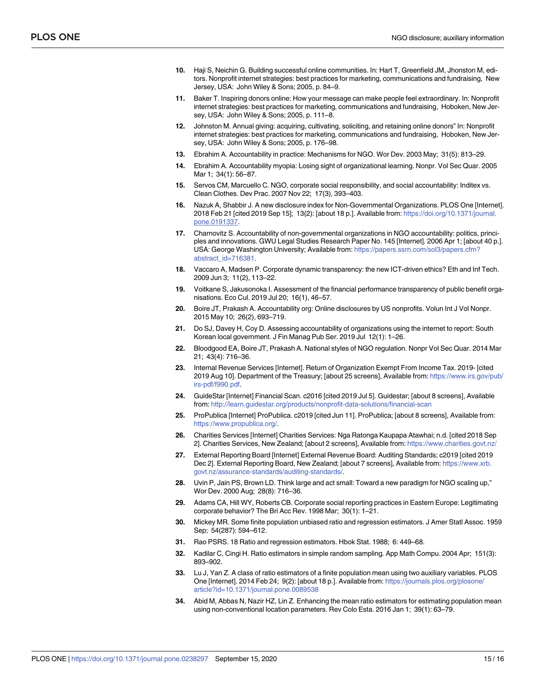- <span id="page-15-0"></span>**[10](#page-3-0).** Haji S, Neichin G. Building successful online communities. In: Hart T, Greenfield JM, Jhonston M, editors. Nonprofit internet strategies: best practices for marketing, communications and fundraising, New Jersey, USA: John Wiley & Sons; 2005, p. 84–9.
- **11.** Baker T. Inspiring donors online: How your message can make people feel extraordinary. In: Nonprofit internet strategies: best practices for marketing, communications and fundraising, Hoboken, New Jersey, USA: John Wiley & Sons; 2005, p. 111–8.
- **[12](#page-3-0).** Johnston M. Annual giving: acquiring, cultivating, soliciting, and retaining online donors" In: Nonprofit internet strategies: best practices for marketing, communications and fundraising, Hoboken, New Jersey, USA: John Wiley & Sons; 2005, p. 176–98.
- **[13](#page-3-0).** Ebrahim A. Accountability in practice: Mechanisms for NGO. Wor Dev. 2003 May; 31(5): 813–29.
- **[14](#page-3-0).** Ebrahim A. Accountability myopia: Losing sight of organizational learning. Nonpr. Vol Sec Quar. 2005 Mar 1; 34(1): 56–87.
- **[15](#page-3-0).** Servos CM, Marcuello C. NGO, corporate social responsibility, and social accountability: Inditex vs. Clean Clothes. Dev Prac. 2007 Nov 22; 17(3), 393–403.
- **[16](#page-4-0).** Nazuk A, Shabbir J. A new disclosure index for Non-Governmental Organizations. PLOS One [Internet]. 2018 Feb 21 [cited 2019 Sep 15]; 13(2): [about 18 p.]. Available from: [https://doi.org/10.1371/journal.](https://doi.org/10.1371/journal.pone.0191337) [pone.0191337.](https://doi.org/10.1371/journal.pone.0191337)
- **[17](#page-3-0).** Charnovitz S. Accountability of non-governmental organizations in NGO accountability: politics, principles and innovations. GWU Legal Studies Research Paper No. 145 [Internet]. 2006 Apr 1; [about 40 p.]. USA: George Washington University; Available from: [https://papers.ssrn.com/sol3/papers.cfm?](https://papers.ssrn.com/sol3/papers.cfm?abstract_id=716381) [abstract\\_id=716381.](https://papers.ssrn.com/sol3/papers.cfm?abstract_id=716381)
- **[18](#page-3-0).** Vaccaro A, Madsen P. Corporate dynamic transparency: the new ICT-driven ethics? Eth and Inf Tech. 2009 Jun 3; 11(2), 113–22.
- **[19](#page-3-0).** Voitkane S, Jakusonoka I. Assessment of the financial performance transparency of public benefit organisations. Eco Cul. 2019 Jul 20; 16(1), 46–57.
- **[20](#page-3-0).** Boire JT, Prakash A. Accountability org: Online disclosures by US nonprofits. Volun Int J Vol Nonpr. 2015 May 10; 26(2), 693–719.
- **[21](#page-3-0).** Do SJ, Davey H, Coy D. Assessing accountability of organizations using the internet to report: South Korean local government. J Fin Manag Pub Ser. 2019 Jul 12(1): 1–26.
- **[22](#page-3-0).** Bloodgood EA, Boire JT, Prakash A. National styles of NGO regulation. Nonpr Vol Sec Quar. 2014 Mar 21; 43(4): 716–36.
- **[23](#page-4-0).** Internal Revenue Services [Internet]. Return of Organization Exempt From Income Tax. 2019- [cited 2019 Aug 10]. Department of the Treasury; [about 25 screens], Available from: [https://www.irs.gov/pub/](https://www.irs.gov/pub/irs-pdf/f990.pdf) [irs-pdf/f990.pdf.](https://www.irs.gov/pub/irs-pdf/f990.pdf)
- **[24](#page-4-0).** GuideStar [Internet] Financial Scan. c2016 [cited 2019 Jul 5]. Guidestar; [about 8 screens], Available from: <http://learn.guidestar.org/products/nonprofit-data-solutions/financial-scan>
- **[25](#page-4-0).** ProPublica [Internet] ProPublica. c2019 [cited Jun 11]. ProPublica; [about 8 screens], Available from: <https://www.propublica.org/>.
- **[26](#page-4-0).** Charities Services [Internet] Charities Services: Nga Ratonga Kaupapa Atawhai; n.d. [cited 2018 Sep 2]. Charities Services, New Zealand; [about 2 screens], Available from: <https://www.charities.govt.nz/>
- **[27](#page-4-0).** External Reporting Board [Internet] External Revenue Board: Auditing Standards; c2019 [cited 2019 Dec 2]. External Reporting Board, New Zealand; [about 7 screens], Available from: [https://www.xrb.](https://www.xrb.govt.nz/assurance-standards/auditing-standards/) [govt.nz/assurance-standards/auditing-standards/.](https://www.xrb.govt.nz/assurance-standards/auditing-standards/)
- **[28](#page-4-0).** Uvin P, Jain PS, Brown LD. Think large and act small: Toward a new paradigm for NGO scaling up," Wor Dev. 2000 Aug; 28(8): 716–36.
- **[29](#page-4-0).** Adams CA, Hill WY, Roberts CB. Corporate social reporting practices in Eastern Europe: Legitimating corporate behavior? The Bri Acc Rev. 1998 Mar; 30(1): 1–21.
- **[30](#page-4-0).** Mickey MR. Some finite population unbiased ratio and regression estimators. J Amer Statl Assoc. 1959 Sep; 54(287): 594–612.
- **31.** Rao PSRS. 18 Ratio and regression estimators. Hbok Stat. 1988; 6: 449–68.
- **32.** Kadilar C, Cingi H. Ratio estimators in simple random sampling. App Math Compu. 2004 Apr; 151(3): 893–902.
- **33.** Lu J, Yan Z. A class of ratio estimators of a finite population mean using two auxiliary variables. PLOS One [Internet]. 2014 Feb 24; 9(2): [about 18 p.]. Available from: [https://journals.plos.org/plosone/](https://journals.plos.org/plosone/article?id=10.1371/journal.pone.0089538) [article?id=10.1371/journal.pone.0089538](https://journals.plos.org/plosone/article?id=10.1371/journal.pone.0089538)
- **34.** Abid M, Abbas N, Nazir HZ, Lin Z. Enhancing the mean ratio estimators for estimating population mean using non-conventional location parameters. Rev Colo Esta. 2016 Jan 1; 39(1): 63–79.